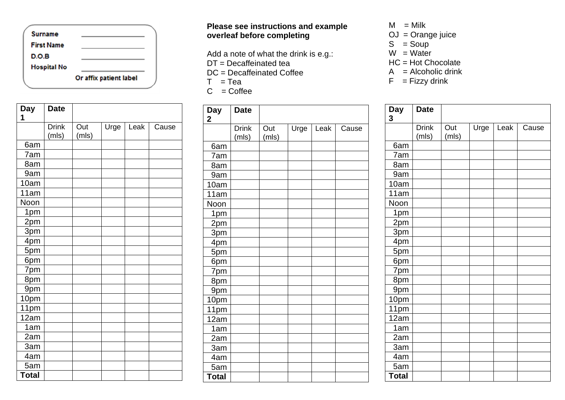

| Day             | <b>Date</b>           |              |      |      |       |
|-----------------|-----------------------|--------------|------|------|-------|
| 1               |                       |              |      |      |       |
|                 | <b>Drink</b><br>(mls) | Out<br>(mls) | Urge | Leak | Cause |
| 6am             |                       |              |      |      |       |
| 7am             |                       |              |      |      |       |
| 8am             |                       |              |      |      |       |
| 9am             |                       |              |      |      |       |
| 10am            |                       |              |      |      |       |
| 11am            |                       |              |      |      |       |
| Noon            |                       |              |      |      |       |
| 1pm             |                       |              |      |      |       |
| 2pm             |                       |              |      |      |       |
| 3pm             |                       |              |      |      |       |
| 4 <sub>pm</sub> |                       |              |      |      |       |
| 5pm             |                       |              |      |      |       |
| 6pm             |                       |              |      |      |       |
| 7pm             |                       |              |      |      |       |
| 8pm             |                       |              |      |      |       |
| 9pm             |                       |              |      |      |       |
| 10pm            |                       |              |      |      |       |
| 11pm            |                       |              |      |      |       |
| 12am            |                       |              |      |      |       |
| 1am             |                       |              |      |      |       |
| 2am             |                       |              |      |      |       |
| 3am             |                       |              |      |      |       |
| 4am             |                       |              |      |      |       |
| 5am             |                       |              |      |      |       |
| <b>Total</b>    |                       |              |      |      |       |

## **Please see instructions and example overleaf before completing**

Add a note of what the drink is e.g. : DT = Decaffeinat e d tea

DC = Decaffeinated Coffee

 $T = Tea$ 

 $C = \text{Coffee}$ 

| <b>Day</b><br>$\mathbf 2$ | <b>Date</b>           |              |      |      |       |
|---------------------------|-----------------------|--------------|------|------|-------|
|                           | <b>Drink</b><br>(mls) | Out<br>(mls) | Urge | Leak | Cause |
| 6am                       |                       |              |      |      |       |
| 7am                       |                       |              |      |      |       |
| 8am                       |                       |              |      |      |       |
| 9am                       |                       |              |      |      |       |
| 10am                      |                       |              |      |      |       |
| 11am                      |                       |              |      |      |       |
| Noon                      |                       |              |      |      |       |
| 1pm                       |                       |              |      |      |       |
| 2 <sub>pm</sub>           |                       |              |      |      |       |
| 3 <sub>pm</sub>           |                       |              |      |      |       |
| 4 <sub>pm</sub>           |                       |              |      |      |       |
| 5pm                       |                       |              |      |      |       |
| 6pm                       |                       |              |      |      |       |
| 7 <sub>pm</sub>           |                       |              |      |      |       |
| 8pm                       |                       |              |      |      |       |
| 9pm                       |                       |              |      |      |       |
| 10pm                      |                       |              |      |      |       |
| 11pm                      |                       |              |      |      |       |
| 12am                      |                       |              |      |      |       |
| 1am                       |                       |              |      |      |       |
| 2am                       |                       |              |      |      |       |
| 3am                       |                       |              |      |      |       |
| 4am                       |                       |              |      |      |       |
| 5am                       |                       |              |      |      |       |
| <b>Total</b>              |                       |              |      |      |       |

 $M =$ Milk

- OJ = Orange juice
- $S = Soup$
- $W = Water$
- HC = Hot Chocolate
- $A =$  Alcoholic drink
- $F = Fizzy$  drink

| Day<br>3        | <b>Date</b>           |              |      |      |       |
|-----------------|-----------------------|--------------|------|------|-------|
|                 | <b>Drink</b><br>(mls) | Out<br>(mls) | Urge | Leak | Cause |
| 6am             |                       |              |      |      |       |
| 7am             |                       |              |      |      |       |
| 8am             |                       |              |      |      |       |
| 9am             |                       |              |      |      |       |
| 10am            |                       |              |      |      |       |
| 11am            |                       |              |      |      |       |
| Noon            |                       |              |      |      |       |
| 1pm             |                       |              |      |      |       |
| 2 <sub>pm</sub> |                       |              |      |      |       |
| 3pm             |                       |              |      |      |       |
| 4pm             |                       |              |      |      |       |
| 5pm             |                       |              |      |      |       |
| 6pm             |                       |              |      |      |       |
| 7pm             |                       |              |      |      |       |
| 8pm             |                       |              |      |      |       |
| 9 <sub>pm</sub> |                       |              |      |      |       |
| 10pm            |                       |              |      |      |       |
| 11pm            |                       |              |      |      |       |
| 12am            |                       |              |      |      |       |
| 1am             |                       |              |      |      |       |
| 2am             |                       |              |      |      |       |
| 3am             |                       |              |      |      |       |
| 4am             |                       |              |      |      |       |
| 5am             |                       |              |      |      |       |
| <b>Total</b>    |                       |              |      |      |       |